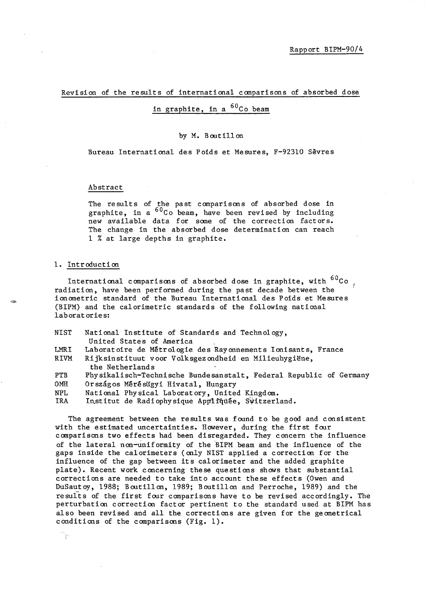Revision of the results of international comparisons of absorbed dose

# in graphite, in a  ${}^{60}$ Co beam

## by M. Boutillon

Bureau International des Poids et Mesures, F-92310 Sevres

### Abstract

The results of the past comparisons of absorbed dose in graphite, in a <sup>60</sup>Co beam, have been revised by including new available data for some of the correction factors. The change in the absorbed dose determination can reach 1 % at large depths in graphite.

#### 1. Introducti on

್ಗಾ

International comparisons of absorbed dose in graphite, with  ${}^{60}$ Co  $_{/}$ radiation, have been performed during the past decade between the ionometric standard of the Bureau International des Poids et Mesures (BIPM) and the calorimetric standards of the following national laboratories:

| NIST       | National Institute of Standards and Technology,                    |
|------------|--------------------------------------------------------------------|
|            | United States of America                                           |
| LMRI       | Laboratoire de Métrologie des Rayonnements Ionisants, France       |
| RIVM       | Rijksinstituut voor Volksgezondheid en Milieuhygiëne,              |
|            | the Netherlands                                                    |
| <b>PTB</b> | Physikalisch-Technische Bundesanstalt, Federal Republic of Germany |
| <b>OMH</b> | Országos Mérésügyi Hivatal, Hungary                                |
| NPL.       | National Physical Laboratory, United Kingdom.                      |
| IRA        | Institut de Radiophysique Appliquée, Switzerland.                  |

The agreement between the results was found to be good and consistent with the estimated uncertainties. However, during the first four comparisons two effects had been disregarded. They concern the influence of the lateral non-uniformity of the BIPM beam and the influence of the gaps inside the calorimeters (only NIST applied a correction for the influence of the gap between its calorimeter and the added graphite plate). Recent work concerning these questions shows that substantial corrections are needed to take into account these effects (Owen and DuSautoy, 1988; Boutillon, 1989; Boutillon and Perroche, 1989) and the results of the first four comparisons have to be revised accordingly. The perturbation correction factor pertinent to the standard used at BIPM has also been revised and all the corrections are given for the geometrical conditions of the comparisons (Fig. 1).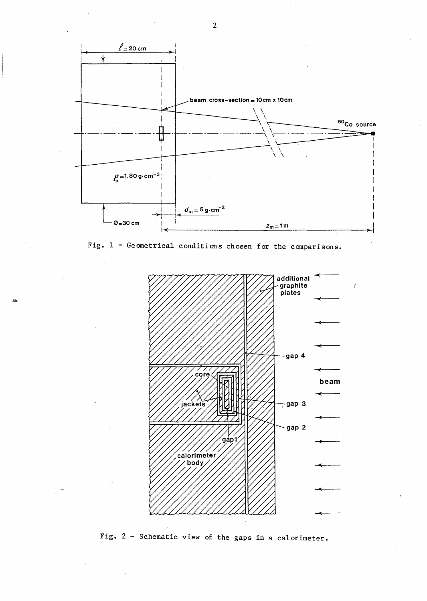

Fig. 1 - Geometrical conditions chosen for the comparisons.

**-**



Fig. 2 - Schematic view of the gaps in a calorimeter.

2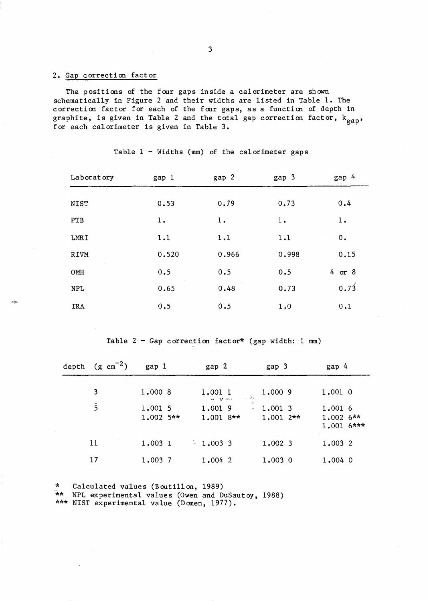# 2. Gap correction factor

,2>

The positions of the foor gaps inside a calorimeter are shown schematically in Figure 2 and their widths are listed in Table 1. The correction factor for each of the four gaps, as a function of depth in graphite, is given in Table 2 and the total gap correction factor,  $k_{gap}$ , for each calorimeter is given in Table 3.

| Laboratory             | gap 1 | gap 2 | gap 3 | gap 4      |
|------------------------|-------|-------|-------|------------|
|                        |       |       |       |            |
| <b>NIST</b>            | 0.53  | 0.79  | 0.73  | 0.4        |
| <b>PTB</b>             | 1.    | 1.    | 1.    | 1.         |
| <b>LMRI</b>            | 1.1   | 1.1   | 1.1   | 0.         |
| <b>RIVM</b>            | 0.520 | 0.966 | 0.998 | 0.15       |
| $\mathcal{L}$ .<br>OMH | 0.5   | 0.5   | 0.5   | $4$ or $8$ |
| <b>NPL</b>             | 0.65  | 0.48  | 0.73  | 0.73       |
| <b>IRA</b>             | 0.5   | 0.5   | 1.0   | 0.1        |

Table  $1 -$  Widths (mm) of the calorimeter gaps

Table  $2$  - Gap correction factor\* (gap width: 1 mm)

| depth | $(g \text{ cm}^{-2})$ | gap 1                  | gap 2                                   | gap 3                    | gap 4                                |
|-------|-----------------------|------------------------|-----------------------------------------|--------------------------|--------------------------------------|
|       | 3                     | 1.000 8                | 1.001 1<br>上学的<br>when the const        | 1,000 9                  | 1.001 0                              |
|       | $\overline{5}$        | 1.001 5<br>$1.002$ 5** | ÷<br>1.001 9<br>$\alpha$<br>$1.001$ 8** | 1,001 3<br>$1.001$ $2**$ | 1.001 6<br>$1.0026**$<br>$1.0016***$ |
|       | 11                    | 1.003 1                | $-1.003$ 3                              | 1,002 3                  | 1.003 2                              |
|       | 17                    | 1.003 7                | $1.004$ 2                               | $1.003$ 0                | $1.004$ 0                            |

\* Calculated values (Bouti1lon, 1989)

-\*\* NPL experimental values (Owen and DuSautoy, 1988)

\*\*\* NIST experimental value (Domen, 1977) •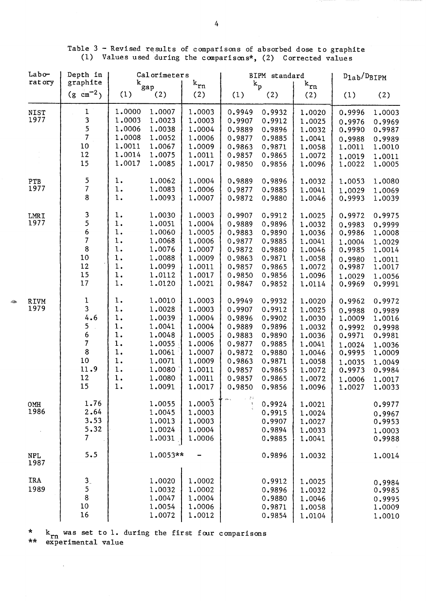Table 3 - Revised results of comparisons of absorbed dose to graphite (1) Values used during the comparisons\*, (2) Corrected values

| Labo-<br>ratory     | Depth in<br>graphite                                                      | Calorimeters                                                                                                                                                                                           |                                                                                                            | BIPM standard                                                                                              |                                                                                                            | $D_{1ab}/D_{BIPM}$                                                                                         |                                                                                                            |                                                                                                            |
|---------------------|---------------------------------------------------------------------------|--------------------------------------------------------------------------------------------------------------------------------------------------------------------------------------------------------|------------------------------------------------------------------------------------------------------------|------------------------------------------------------------------------------------------------------------|------------------------------------------------------------------------------------------------------------|------------------------------------------------------------------------------------------------------------|------------------------------------------------------------------------------------------------------------|------------------------------------------------------------------------------------------------------------|
|                     | $(g \text{ cm}^{-2})$                                                     | $\mathrm{k_{gap}}$<br>(1)<br>(2)                                                                                                                                                                       | $\mathbf{k}_{\text{rn}}$<br>(2)                                                                            | (1)                                                                                                        | $k_{p}$<br>(2)                                                                                             | $\mathbf{k}_{\texttt{rn}}$<br>(2)                                                                          | (1)                                                                                                        | (2)                                                                                                        |
| <b>NIST</b><br>1977 | 1<br>$\mathbf{3}$<br>5<br>$\overline{7}$<br>10<br>12<br>15                | 1.0000<br>1.0007<br>1.0003<br>1.0023<br>1.0006<br>1.0038<br>1.0008<br>1.0052<br>1.0011<br>1.0067<br>1.0014<br>1.0075<br>1.0017<br>1.0085                                                               | 1.0003<br>1.0003<br>1.0004<br>1.0006<br>1.0009<br>1.0011<br>1.0017                                         | 0.9949<br>0.9907<br>0.9889<br>0.9877<br>0.9863<br>0.9857<br>0.9850                                         | 0.9932<br>0.9912<br>0.9896<br>0.9885<br>0.9871<br>0.9865<br>0.9856                                         | 1.0020<br>1.0025<br>1.0032<br>1.0041<br>1.0058<br>1.0072<br>1.0096                                         | 0.9996<br>0.9976<br>0.9990<br>0.9988<br>1.0011<br>1.0019<br>1.0022                                         | 1,0003<br>0.9969<br>0.9987<br>0.9989<br>1.0010<br>1.0011<br>1.0005                                         |
| PTB<br>1977         | 5<br>$\overline{7}$<br>8                                                  | $1$ .<br>1.0062<br>$1$ .<br>1.0083<br>1.<br>1.0093                                                                                                                                                     | 1.0004<br>1.0006<br>1.0007                                                                                 | 0.9889<br>0.9877<br>0.9872                                                                                 | 0.9896<br>0.9885<br>0.9880                                                                                 | 1.0032<br>1.0041<br>1.0046                                                                                 | 1.0053<br>1.0029<br>0.9993                                                                                 | 1.0080<br>1.0069<br>1.0039                                                                                 |
| LMRI<br>1977        | 3<br>5<br>$\frac{6}{7}$<br>8<br>10<br>12<br>15<br>17                      | $\mathbf 1$ .<br>1.0030<br>$1$ .<br>1.0051<br>$1$ .<br>1.0060<br>$1$ .<br>1,0068<br>$\mathbf 1$ .<br>1.0076<br>$1$ .<br>1.0088<br>$1$ .<br>1.0099<br>$1$ .<br>1.0112<br>$1$ .<br>1.0120                | 1.0003<br>1.0004<br>1.0005<br>1.0006<br>1.0007<br>1.0009<br>1.0011<br>1.0017<br>1.0021                     | 0.9907<br>0.9889<br>0.9883<br>0.9877<br>0.9872<br>0.9863<br>0.9857<br>0.9850<br>0.9847                     | 0.9912<br>0.9896<br>0.9890<br>0.9885<br>0.9880<br>0.9871<br>0.9865<br>0.9856<br>0.9852                     | 1.0025<br>1.0032<br>1.0036<br>1.0041<br>1.0046<br>1.0058<br>1.0072<br>1.0096<br>1.0114                     | 0.9972<br>0.9983<br>0.9986<br>1.0004<br>0.9985<br>0.9980<br>0.9987<br>1.0029<br>0.9969                     | 0.9975<br>0.9999<br>1.0008<br>1.0029<br>1.0014<br>1.0011<br>1.0017<br>1.0056<br>0.9991                     |
| <b>RIVM</b><br>1979 | $\frac{1}{3}$<br>4.6<br>5<br>$\frac{6}{7}$<br>8<br>10<br>11.9<br>12<br>15 | $1$ .<br>1.0010<br>$1$ .<br>1.0028<br>$1$ .<br>1.0039<br>1.<br>1.0041<br>$1$ .<br>1.0048<br>$1$ .<br>1.0055<br>$1.$<br>1.0061<br>$1$ .<br>1.0071<br>$1$ .<br>1.0080<br>$1$ .<br>1.0080<br>1.<br>1.0091 | 1.0003<br>1.0003<br>1.0004<br>1.0004<br>1.0005<br>1.0006<br>1.0007<br>1.0009<br>1.0011<br>1.0011<br>1.0017 | 0.9949<br>0.9907<br>0.9896<br>0.9889<br>0.9883<br>0.9877<br>0.9872<br>0.9863<br>0.9857<br>0.9857<br>0.9850 | 0.9932<br>0.9912<br>0.9902<br>0.9896<br>0.9890<br>0.9885<br>0.9880<br>0.9871<br>0.9865<br>0.9865<br>0.9856 | 1.0020<br>1.0025<br>1.0030<br>1.0032<br>1.0036<br>1.0041<br>1.0046<br>1.0058<br>1.0072<br>1.0072<br>1.0096 | 0.9962<br>0.9988<br>1.0009<br>0.9992<br>0.9971<br>1.0024<br>0.9995<br>1.0035<br>0.9973<br>1,0006<br>1.0027 | 0.9972<br>0.9989<br>1.0016<br>0.9998<br>0.9981<br>1.0036<br>1.0009<br>1.0049<br>0.9984<br>1.0017<br>1,0033 |
| OMH<br>1986         | 1.76<br>2.64<br>3.53<br>5.32<br>7                                         | 1.0055<br>1.0045<br>1.0013<br>1.0024<br>1.0031                                                                                                                                                         | 1,0003<br>1.0003<br>1,0003<br>1.0004<br>1.0006                                                             | $\tilde{\mathbf{f}}$                                                                                       | 0.9924<br>0.9915<br>0.9907<br>0.9894<br>0.9885                                                             | 1.0021<br>1.0024<br>1.0027<br>1.0033<br>1,0041                                                             |                                                                                                            | 0.9977<br>0.9967<br>0.9953<br>1.0003<br>0.9988                                                             |
| <b>NPL</b><br>1987  | 5.5                                                                       | 1.0053**                                                                                                                                                                                               |                                                                                                            |                                                                                                            | 0.9896                                                                                                     | 1.0032                                                                                                     |                                                                                                            | 1.0014                                                                                                     |
| IRA<br>1989         | $\frac{3}{5}$<br>8<br>10<br>16                                            | 1.0020<br>1.0032<br>1.0047<br>1.0054<br>1.0072                                                                                                                                                         | 1.0002<br>1.0002<br>1.0004<br>1.0006<br>1.0012                                                             |                                                                                                            | 0.9912<br>0.9896<br>0.9880<br>0.9871<br>0.9854                                                             | 1.0025<br>1.0032<br>1.0046<br>1.0058<br>1.0104                                                             |                                                                                                            | 0.9984<br>0.9985<br>0.9995<br>1.0009<br>1.0010                                                             |

 $\frac{k}{rn}$  was set to 1. during the first four comparisons \*\* experimental value

 $\bar{\mathcal{A}}$ 

Þ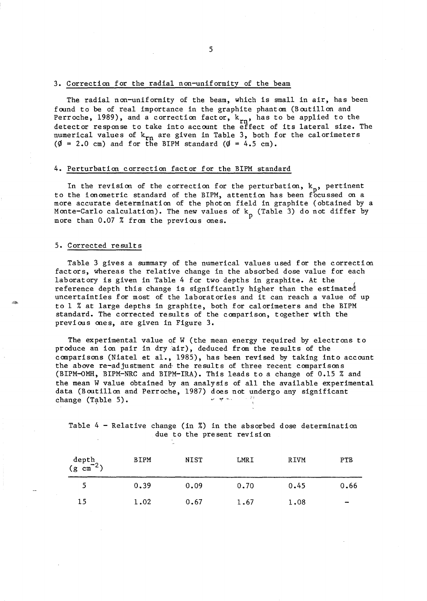#### 3. Correction for the radial non-uniformity of the beam

The radial non-uniformity of the beam, which is small in air, has been found to be of real importance in the graphite phantom (Boutillon and Perroche, 1989), and a correction factor,  $k_{rn}$ , has to be applied to the detection magnesium to the detection of  $r_{n}$ . detector response to take into accoont the effect of its lateral size. The numerical values of  $k_{rn}$  are given in Table 3, both for the calorimeters ( $\emptyset$  = 2.0 cm) and for the BIPM standard ( $\emptyset$  = 4.5 cm).

#### 4. Perturbation correction factor for the BIPM standard

In the revision of the correction for the perturbation,  $k_{p}$ , pertinent to the ionometric standard of the BIPM, attention has been focussed on a more accurate determination of the photon field in graphite (obtained by a Monte-Carlo calculation). The new values of  $k_p$  (Table 3) do not differ by more than 0.07 % from the previous ones.

#### 5. Corrected result s

Table 3 gives a summary of the numerical values used for the correction factors, whereas the relative change in the absorbed dose value for each laboratory is given in Table 4 for two depths in graphite. At the reference depth this change is significantly higher than the estimated uncertainties for most of the laborat ories and it can reach a value of up to 1 % at large depths in graphite, both for calorimeters and the BIPM standard. The corrected results of the canparison, together with the previoos ones, are given in Figure 3.

The experimental value of W (the mean energy required by electrons to produce an ion pair in dry air), deduced from the results of the canparisons (Niatel et al., 1985), has been revised by taking into account the above re-adjustment and the results of three recent comparisons (BIPM-oMH, BIPM-NRC and BIPM-IRA). This leads to a change of 0.15 % and the mean W value obtained by an analysis of all the available experimental data (Boutillon and Perroche, 1987) does not undergo any significant<br>change (Table 5) change  $(Table 5)$ .

Table 4 - Relative change (in %) in the absorbed dose determination due to the present revision

| depth<br>(g $\text{cm}^{-2}$ ) | <b>BIPM</b> | NIST | LMRI | RIVM | PTB                      |
|--------------------------------|-------------|------|------|------|--------------------------|
|                                | 0.39        | 0.09 | 0.70 | 0.45 | 0.66                     |
| 15                             | 1.02        | 0.67 | 1.67 | 1.08 | $\overline{\phantom{a}}$ |

5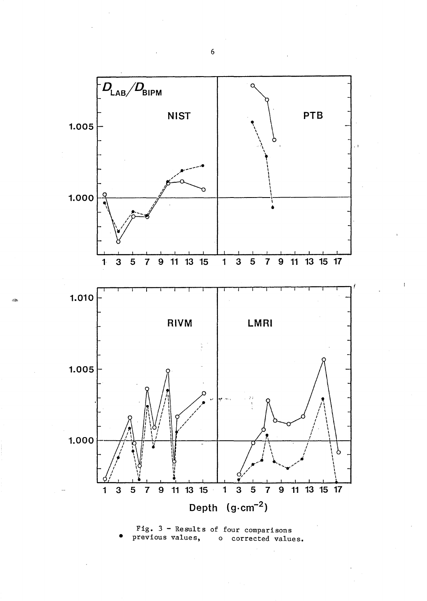



6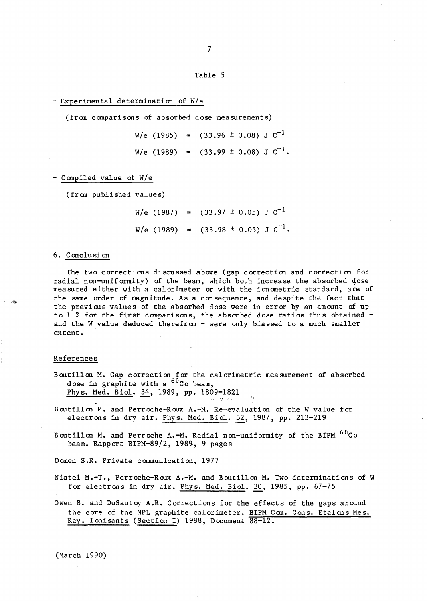Table 5

7

- Experimental determination of W/e

(from comparisons of absorbed dose measurements)

 $W/e$  (1985) = (33.96 ± 0.08) J  $C^{-1}$  $W/e$  (1989) = (33.99 ± 0.08) J  $C^{-1}$ .

- Compiled value of W/e

(from published values)

 $W/e$  (1987) = (33.97 ± 0.05) J  $C^{-1}$  $W/e$  (1989) = (33.98 ± 0.05) J  $C^{-1}$ .

#### 6. Conclusion

The two corrections discussed above (gap correction and correction for radial non-uniformity) of the beam, which both increase the absorbed dose measured either with a calorimeter or with the ionometric standard, are of the same order of magnitude. As a consequence, and despite the fact that the previous values of the absorbed dose were in error by an amount of up to 1 % for the first comparisons, the absorbed dose ratios thus obtained  $$ and the W value deduced therefrom - were only biassed to a much smaller extent.

#### References

Boutillon M. Gap correction for the calorimetric measurement of absorbed dose in graphite with a  ${}^{60}$ Co beam, Phys. Med. Biol. 34, 1989, pp. 1809-1821

بالمحافظ المها

- Boutillon M. and Perroche-Roox A.-M. Re-evaluation of the W value for electrons in dry air. Phys. Med. Biol. 32, 1987, pp. 213-219
- Boutillon M. and Perroche A.-M. Radial non-uniformity of the BIPM <sup>60</sup>Co beam. Rapport BIPM-89/2, 1989, 9 pages

Domen S.R. Private communication, 1977

Niatel M.-T., Perroche-Roux A.-M. and Boutillon M. Two determinations of W for electrons in dry air. Phys. Med. BioI. 30, 1985, pp. 67-75

Owen B. and DuSautoy A.R. Corrections for the effects of the gaps aroond the core of the NPL graphite calorimeter. BIPM Com. Cons. Etalons Mes. Ray. Ionisants (Section I) 1988, Document 88-12.

(March 1990)